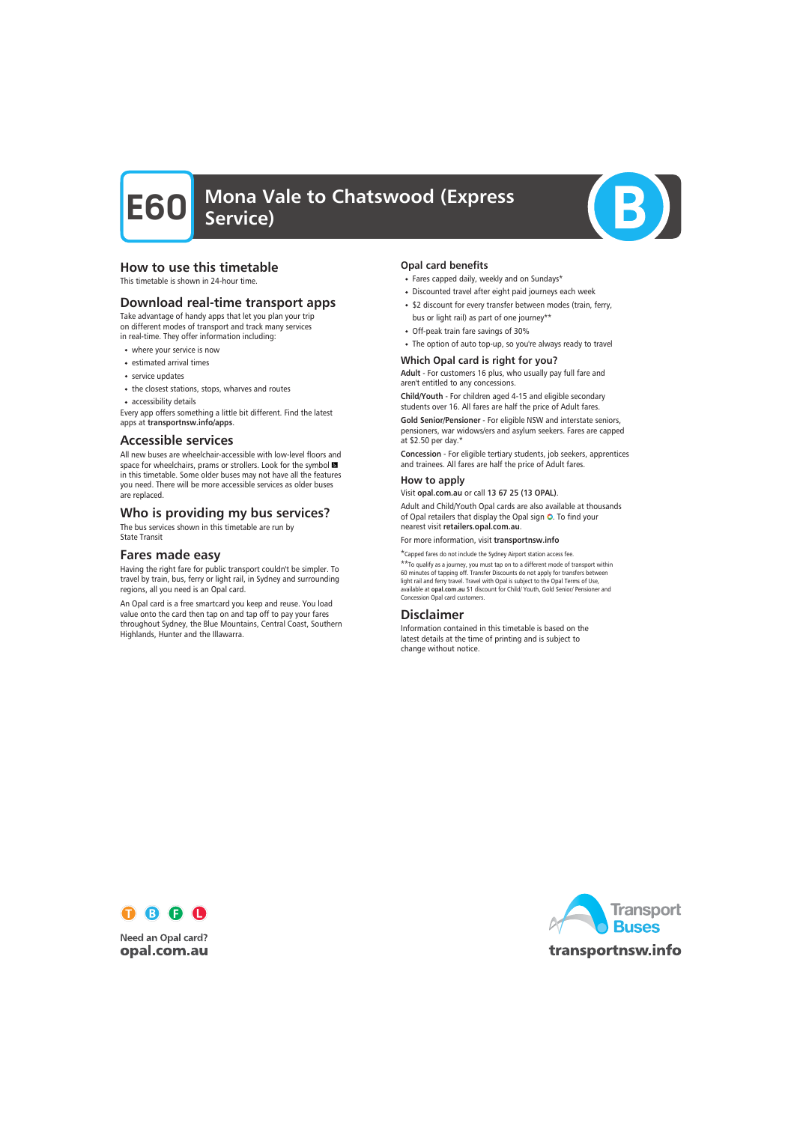

#### How to use this timetable

This timetable is shown in 24-hour time.

#### Download real-time transport apps

Take advantage of handy apps that let you plan your trip on different modes of transport and track many services in real-time. They offer information including:

- where your service is now
- estimated arrival times
- service updates
- the closest stations, stops, wharves and routes
- accessibility details

Every app offers something a little bit different. Find the latest apps at transportnsw.info/apps.

#### Accessible services

All new buses are wheelchair-accessible with low-level floors and space for wheelchairs, prams or strollers. Look for the symbol in this timetable. Some older buses may not have all the features you need. There will be more accessible services as older buses are replaced.

### Who is providing my bus services?

The bus services shown in this timetable are run by State Transit

#### Fares made easy

Having the right fare for public transport couldn't be simpler. To travel by train, bus, ferry or light rail, in Sydney and surrounding regions, all you need is an Opal card.

An Opal card is a free smartcard you keep and reuse. You load value onto the card then tap on and tap off to pay your fares throughout Sydney, the Blue Mountains, Central Coast, Southern Highlands, Hunter and the Illawarra.

#### Opal card benefits

- Fares capped daily, weekly and on Sundays\*
- Discounted travel after eight paid journeys each week
- \$2 discount for every transfer between modes (train, ferry, bus or light rail) as part of one journey\*\*
- Off-peak train fare savings of 30%
- The option of auto top-up, so you're always ready to travel

#### Which Opal card is right for you?

Adult - For customers 16 plus, who usually pay full fare and aren't entitled to any concessions.

Child/Youth - For children aged 4-15 and eligible secondary students over 16. All fares are half the price of Adult fares.

Gold Senior/Pensioner - For eligible NSW and interstate seniors, pensioners, war widows/ers and asylum seekers. Fares are capped at \$2.50 per day.\*

Concession - For eligible tertiary students, job seekers, apprentices and trainees. All fares are half the price of Adult fares.

#### How to apply

Visit opal.com.au or call 13 67 25 (13 OPAL).

Adult and Child/Youth Opal cards are also available at thousands of Opal retailers that display the Opal sign O. To find your nearest visit retailers.opal.com.au.

For more information, visit transportnsw.info

\*Capped fares do not include the Sydney Airport station access fee.

\*\*To qualify as a journey, you must tap on to a different mode of transport within 60 minutes of tapping off. Transfer Discounts do not apply for transfers between light rail and ferry travel. Travel with Opal is subject to the Opal Terms of Use, available at opal.com.au \$1 discount for Child/ Youth, Gold Senior/ Pensioner and Concession Opal card customers.

#### Disclaimer

Information contained in this timetable is based on the latest details at the time of printing and is subject to change without notice.



**Need an Opal card?** opal.com.au

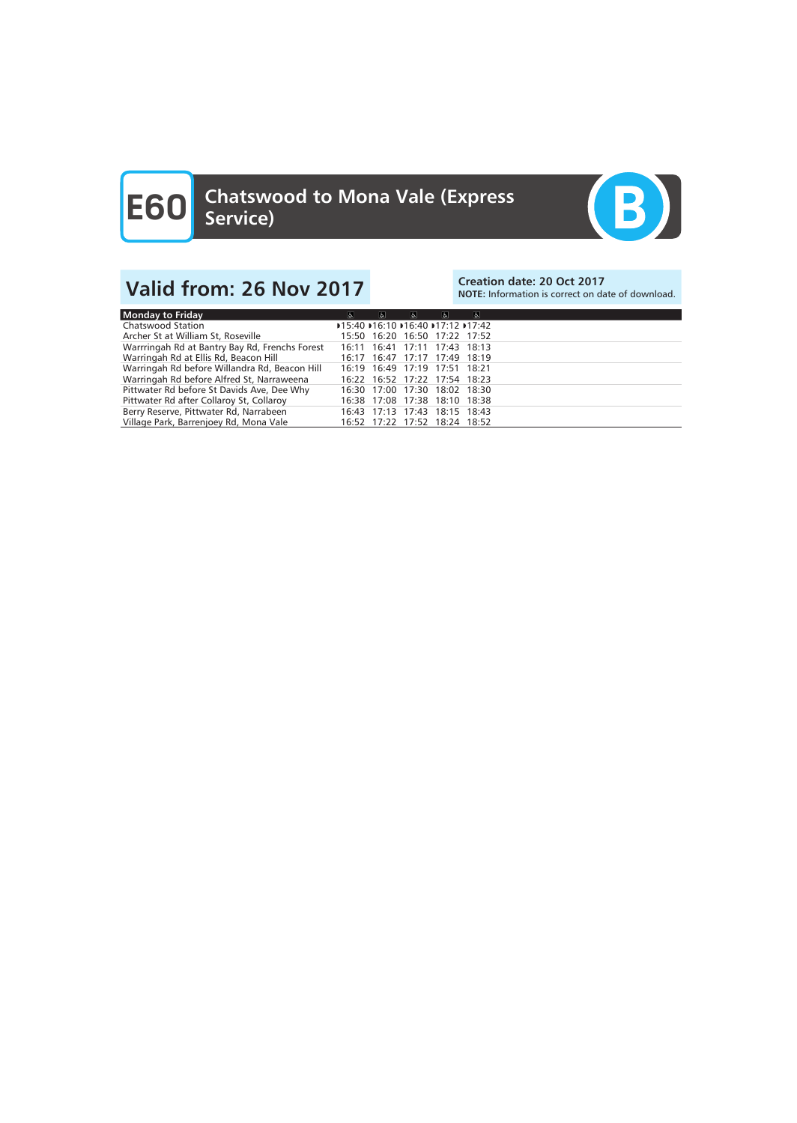

## Valid from: 26 Nov 2017<br>Note: Information is correct on date: 20 Oct 2017

NOTE: Information is correct on date of download.

| $\sigma$ | $\mathbf{e}$                                   | $\sigma$ | $\sigma$ | $\sigma$ |                                                                                                                                                                                                                                                                                                                                             |
|----------|------------------------------------------------|----------|----------|----------|---------------------------------------------------------------------------------------------------------------------------------------------------------------------------------------------------------------------------------------------------------------------------------------------------------------------------------------------|
|          |                                                |          |          |          |                                                                                                                                                                                                                                                                                                                                             |
|          |                                                |          |          |          |                                                                                                                                                                                                                                                                                                                                             |
|          |                                                |          |          |          |                                                                                                                                                                                                                                                                                                                                             |
|          |                                                |          |          |          |                                                                                                                                                                                                                                                                                                                                             |
|          |                                                |          |          |          |                                                                                                                                                                                                                                                                                                                                             |
|          |                                                |          |          |          |                                                                                                                                                                                                                                                                                                                                             |
|          |                                                |          |          |          |                                                                                                                                                                                                                                                                                                                                             |
|          |                                                |          |          |          |                                                                                                                                                                                                                                                                                                                                             |
|          |                                                |          |          |          |                                                                                                                                                                                                                                                                                                                                             |
|          |                                                |          |          |          |                                                                                                                                                                                                                                                                                                                                             |
|          | Warrringah Rd at Bantry Bay Rd, Frenchs Forest |          |          |          | D15:40 D16:10 D16:40 D17:12 D17:42<br>15:50 16:20 16:50 17:22 17:52<br>16:11 16:41 17:11 17:43 18:13<br>16:17 16:47 17:17 17:49 18:19<br>16:19 16:49 17:19 17:51 18:21<br>16:22 16:52 17:22 17:54 18:23<br>16:30 17:00 17:30 18:02 18:30<br>16:38 17:08 17:38 18:10 18:38<br>16:43 17:13 17:43 18:15 18:43<br>16:52 17:22 17:52 18:24 18:52 |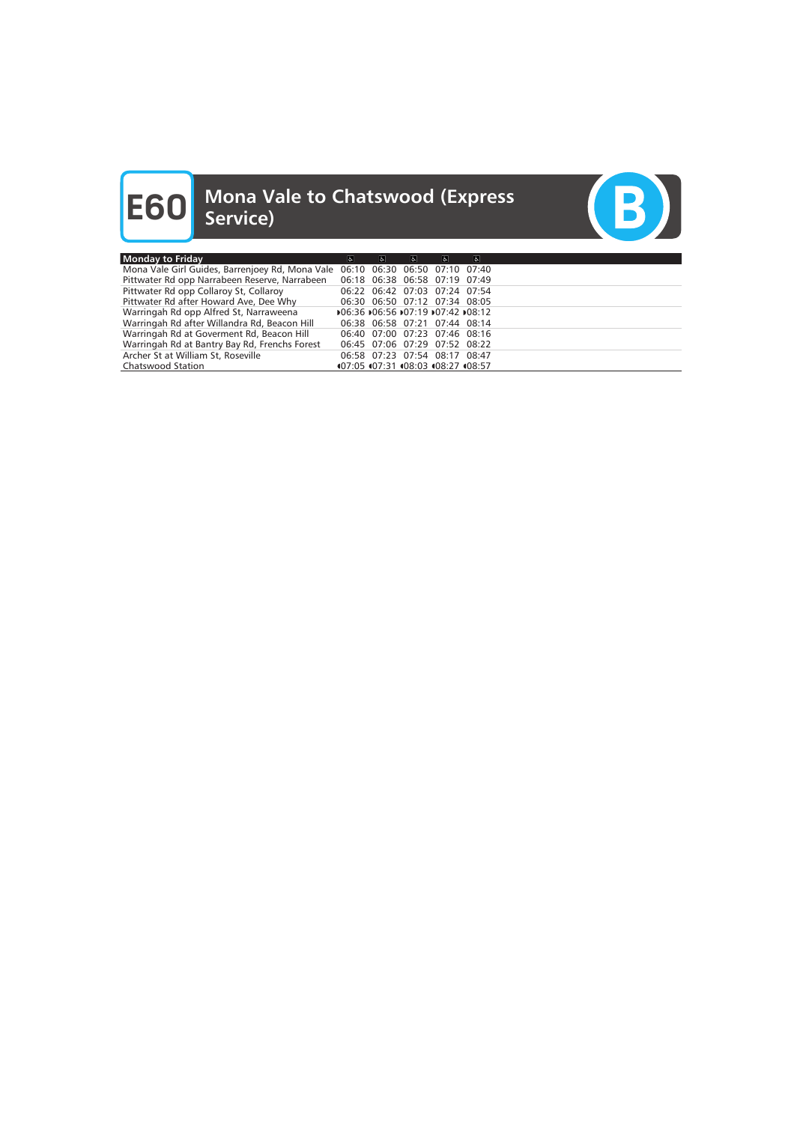# **E60** Mona Vale to Chatswood (Express<br>
Service)



| <b>Monday to Friday</b>                                                       | $\sigma$                           | $\mathbf{r}$ | $\mathbf{r}$ | $\sigma$                           | $\vert$ |  |
|-------------------------------------------------------------------------------|------------------------------------|--------------|--------------|------------------------------------|---------|--|
| Mona Vale Girl Guides, Barrenjoey Rd, Mona Vale 06:10 06:30 06:50 07:10 07:40 |                                    |              |              |                                    |         |  |
| Pittwater Rd opp Narrabeen Reserve, Narrabeen 06:18 06:38 06:58 07:19 07:49   |                                    |              |              |                                    |         |  |
| Pittwater Rd opp Collaroy St, Collaroy                                        |                                    |              |              | 06:22 06:42 07:03 07:24 07:54      |         |  |
| Pittwater Rd after Howard Ave, Dee Why                                        |                                    |              |              | 06:30 06:50 07:12 07:34 08:05      |         |  |
| Warringah Rd opp Alfred St, Narraweena                                        | 106:36 106:56 107:19 107:42 108:12 |              |              |                                    |         |  |
| Warringah Rd after Willandra Rd, Beacon Hill                                  |                                    |              |              | 06:38 06:58 07:21 07:44 08:14      |         |  |
| Warringah Rd at Goverment Rd, Beacon Hill                                     |                                    |              |              | 06:40 07:00 07:23 07:46 08:16      |         |  |
| Warringah Rd at Bantry Bay Rd, Frenchs Forest                                 |                                    |              |              | 06:45 07:06 07:29 07:52 08:22      |         |  |
| Archer St at William St, Roseville                                            |                                    |              |              | 06:58 07:23 07:54 08:17 08:47      |         |  |
| <b>Chatswood Station</b>                                                      |                                    |              |              | 407:05 407:31 408:03 408:27 408:57 |         |  |